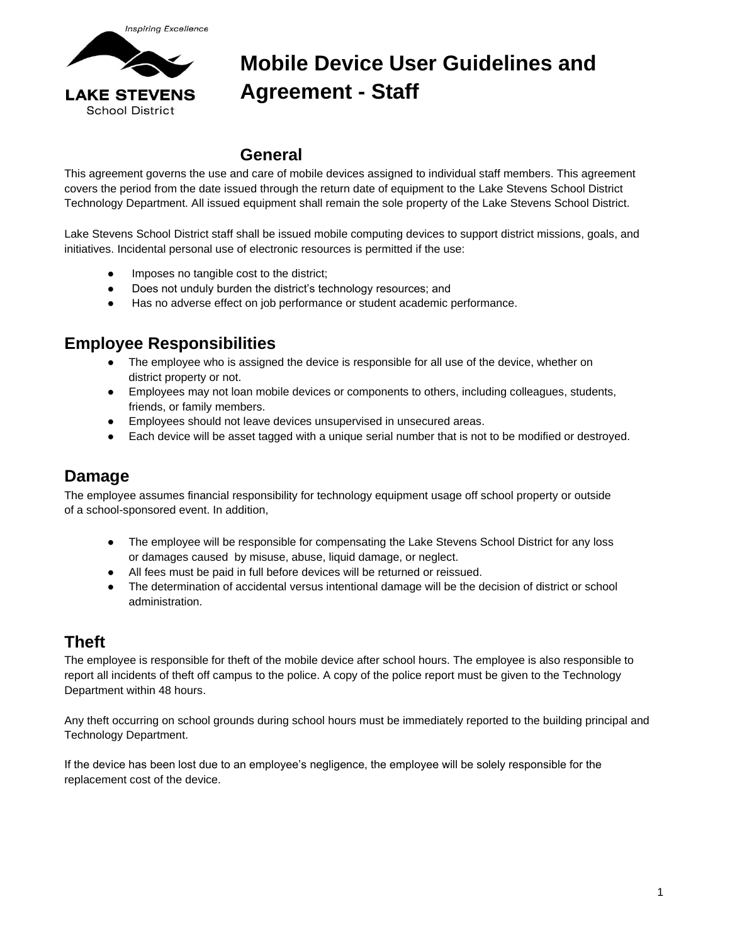

## **Mobile Device User Guidelines and Agreement - Staff**

#### **General**

This agreement governs the use and care of mobile devices assigned to individual staff members. This agreement covers the period from the date issued through the return date of equipment to the Lake Stevens School District Technology Department. All issued equipment shall remain the sole property of the Lake Stevens School District.

Lake Stevens School District staff shall be issued mobile computing devices to support district missions, goals, and initiatives. Incidental personal use of electronic resources is permitted if the use:

- Imposes no tangible cost to the district;
- Does not unduly burden the district's technology resources; and
- Has no adverse effect on job performance or student academic performance.

#### **Employee Responsibilities**

- The employee who is assigned the device is responsible for all use of the device, whether on district property or not.
- Employees may not loan mobile devices or components to others, including colleagues, students, friends, or family members.
- Employees should not leave devices unsupervised in unsecured areas.
- Each device will be asset tagged with a unique serial number that is not to be modified or destroyed.

#### **Damage**

The employee assumes financial responsibility for technology equipment usage off school property or outside of a school-sponsored event. In addition,

- The employee will be responsible for compensating the Lake Stevens School District for any loss or damages caused by misuse, abuse, liquid damage, or neglect.
- All fees must be paid in full before devices will be returned or reissued.
- The determination of accidental versus intentional damage will be the decision of district or school administration.

#### **Theft**

The employee is responsible for theft of the mobile device after school hours. The employee is also responsible to report all incidents of theft off campus to the police. A copy of the police report must be given to the Technology Department within 48 hours.

Any theft occurring on school grounds during school hours must be immediately reported to the building principal and Technology Department.

If the device has been lost due to an employee's negligence, the employee will be solely responsible for the replacement cost of the device.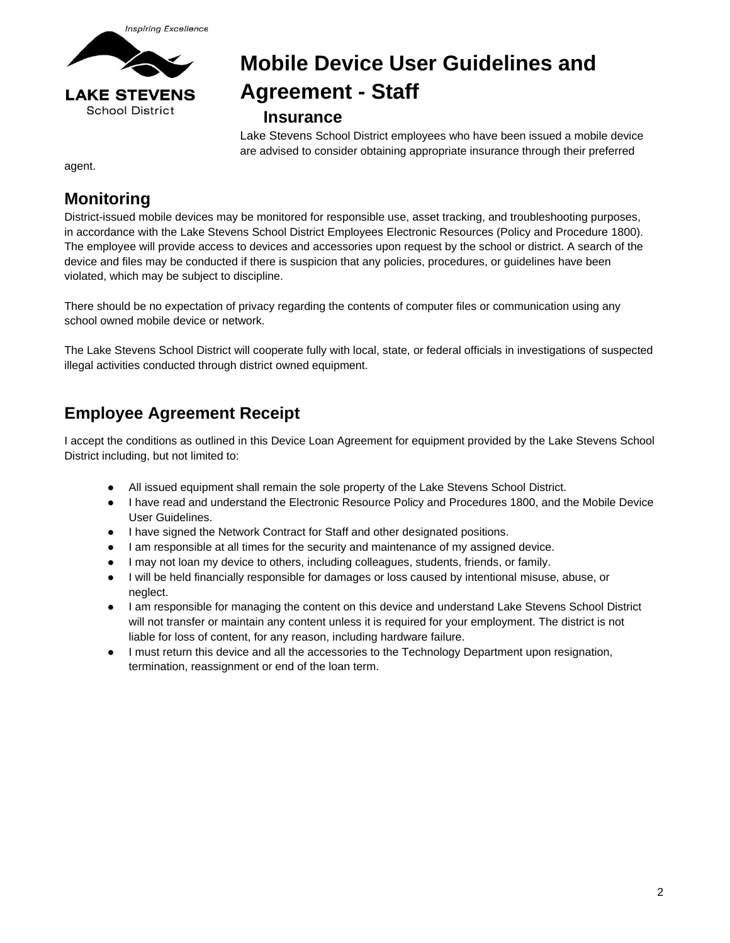

# **Mobile Device User Guidelines and Agreement - Staff**

#### **Insurance**

Lake Stevens School District employees who have been issued a mobile device are advised to consider obtaining appropriate insurance through their preferred

agent.

#### **Monitoring**

District-issued mobile devices may be monitored for responsible use, asset tracking, and troubleshooting purposes, in accordance with the Lake Stevens School District Employees Electronic Resources (Policy and Procedure 1800). The employee will provide access to devices and accessories upon request by the school or district. A search of the device and files may be conducted if there is suspicion that any policies, procedures, or guidelines have been violated, which may be subject to discipline.

There should be no expectation of privacy regarding the contents of computer files or communication using any school owned mobile device or network.

The Lake Stevens School District will cooperate fully with local, state, or federal officials in investigations of suspected illegal activities conducted through district owned equipment.

### **Employee Agreement Receipt**

I accept the conditions as outlined in this Device Loan Agreement for equipment provided by the Lake Stevens School District including, but not limited to:

- All issued equipment shall remain the sole property of the Lake Stevens School District.
- I have read and understand the Electronic Resource Policy and Procedures 1800, and the Mobile Device User Guidelines.
- I have signed the Network Contract for Staff and other designated positions.
- I am responsible at all times for the security and maintenance of my assigned device.
- I may not loan my device to others, including colleagues, students, friends, or family.
- I will be held financially responsible for damages or loss caused by intentional misuse, abuse, or neglect.
- I am responsible for managing the content on this device and understand Lake Stevens School District will not transfer or maintain any content unless it is required for your employment. The district is not liable for loss of content, for any reason, including hardware failure.
- I must return this device and all the accessories to the Technology Department upon resignation, termination, reassignment or end of the loan term.